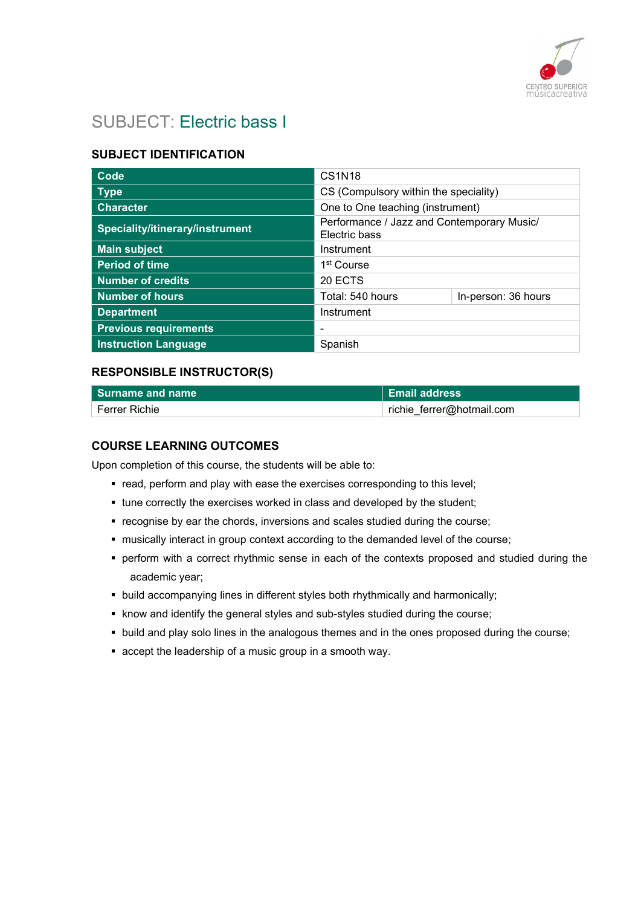

# SUBJECT: Electric bass I

# SUBJECT IDENTIFICATION

| Code                            | <b>CS1N18</b>                                               |                     |
|---------------------------------|-------------------------------------------------------------|---------------------|
| <b>Type</b>                     | CS (Compulsory within the speciality)                       |                     |
| <b>Character</b>                | One to One teaching (instrument)                            |                     |
| Speciality/itinerary/instrument | Performance / Jazz and Contemporary Music/<br>Electric bass |                     |
| <b>Main subject</b>             | Instrument                                                  |                     |
| <b>Period of time</b>           | 1 <sup>st</sup> Course                                      |                     |
| <b>Number of credits</b>        | 20 ECTS                                                     |                     |
| <b>Number of hours</b>          | Total: 540 hours                                            | In-person: 36 hours |
| <b>Department</b>               | Instrument                                                  |                     |
| <b>Previous requirements</b>    |                                                             |                     |
| <b>Instruction Language</b>     | Spanish                                                     |                     |

#### RESPONSIBLE INSTRUCTOR(S)

| l Surname and name           | <b>Email address</b>      |
|------------------------------|---------------------------|
| $^{\shortmid}$ Ferrer Richie | richie ferrer@hotmail.com |

## COURSE LEARNING OUTCOMES

Upon completion of this course, the students will be able to:

- **•** read, perform and play with ease the exercises corresponding to this level;
- tune correctly the exercises worked in class and developed by the student;
- recognise by ear the chords, inversions and scales studied during the course;
- musically interact in group context according to the demanded level of the course;
- perform with a correct rhythmic sense in each of the contexts proposed and studied during the academic year;
- build accompanying lines in different styles both rhythmically and harmonically;
- know and identify the general styles and sub-styles studied during the course;
- **build and play solo lines in the analogous themes and in the ones proposed during the course;**
- accept the leadership of a music group in a smooth way.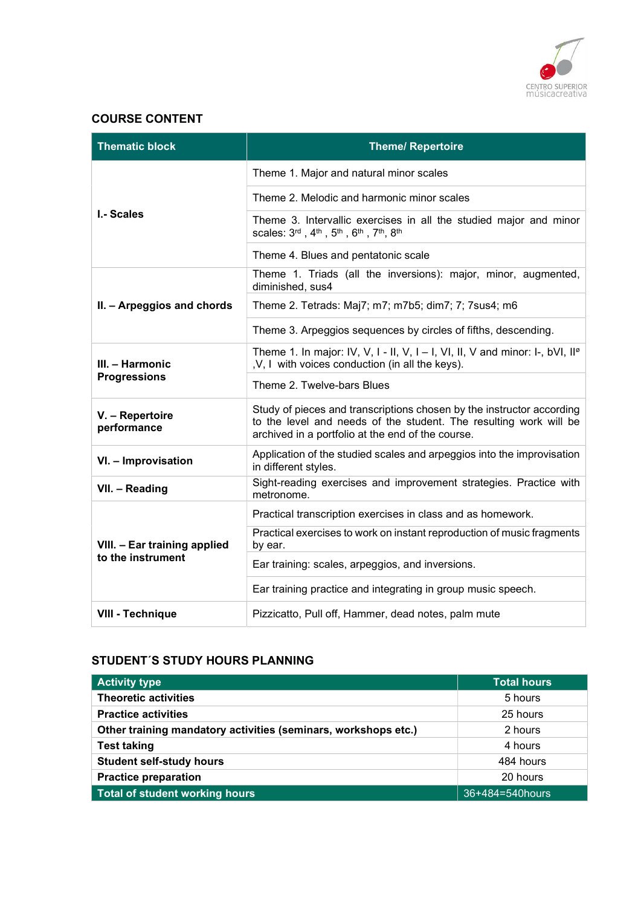

## COURSE CONTENT

| <b>Thematic block</b>                             | <b>Theme/ Repertoire</b>                                                                                                                                                                        |
|---------------------------------------------------|-------------------------------------------------------------------------------------------------------------------------------------------------------------------------------------------------|
|                                                   | Theme 1. Major and natural minor scales                                                                                                                                                         |
|                                                   | Theme 2. Melodic and harmonic minor scales                                                                                                                                                      |
| <b>I.- Scales</b>                                 | Theme 3. Intervallic exercises in all the studied major and minor<br>scales: 3rd, 4th, 5th, 6th, 7th, 8th                                                                                       |
|                                                   | Theme 4. Blues and pentatonic scale                                                                                                                                                             |
|                                                   | Theme 1. Triads (all the inversions): major, minor, augmented,<br>diminished, sus4                                                                                                              |
| II. - Arpeggios and chords                        | Theme 2. Tetrads: Maj7; m7; m7b5; dim7; 7; 7sus4; m6                                                                                                                                            |
|                                                   | Theme 3. Arpeggios sequences by circles of fifths, descending.                                                                                                                                  |
| III. - Harmonic                                   | Theme 1. In major: IV, V, I - II, V, I - I, VI, II, V and minor: I-, bVI, $II^{\circ}$<br>, V, I with voices conduction (in all the keys).                                                      |
| <b>Progressions</b>                               | Theme 2. Twelve-bars Blues                                                                                                                                                                      |
| V. - Repertoire<br>performance                    | Study of pieces and transcriptions chosen by the instructor according<br>to the level and needs of the student. The resulting work will be<br>archived in a portfolio at the end of the course. |
| VI. - Improvisation                               | Application of the studied scales and arpeggios into the improvisation<br>in different styles.                                                                                                  |
| VII. - Reading                                    | Sight-reading exercises and improvement strategies. Practice with<br>metronome.                                                                                                                 |
|                                                   | Practical transcription exercises in class and as homework.                                                                                                                                     |
| VIII. - Ear training applied<br>to the instrument | Practical exercises to work on instant reproduction of music fragments<br>by ear.                                                                                                               |
|                                                   | Ear training: scales, arpeggios, and inversions.                                                                                                                                                |
|                                                   | Ear training practice and integrating in group music speech.                                                                                                                                    |
| <b>VIII - Technique</b>                           | Pizzicatto, Pull off, Hammer, dead notes, palm mute                                                                                                                                             |

#### STUDENT´S STUDY HOURS PLANNING

| <b>Activity type</b>                                           | <b>Total hours</b> |
|----------------------------------------------------------------|--------------------|
| <b>Theoretic activities</b>                                    | 5 hours            |
| <b>Practice activities</b>                                     | 25 hours           |
| Other training mandatory activities (seminars, workshops etc.) | 2 hours            |
| <b>Test taking</b>                                             | 4 hours            |
| <b>Student self-study hours</b>                                | 484 hours          |
| <b>Practice preparation</b>                                    | 20 hours           |
| Total of student working hours                                 | 36+484=540hours    |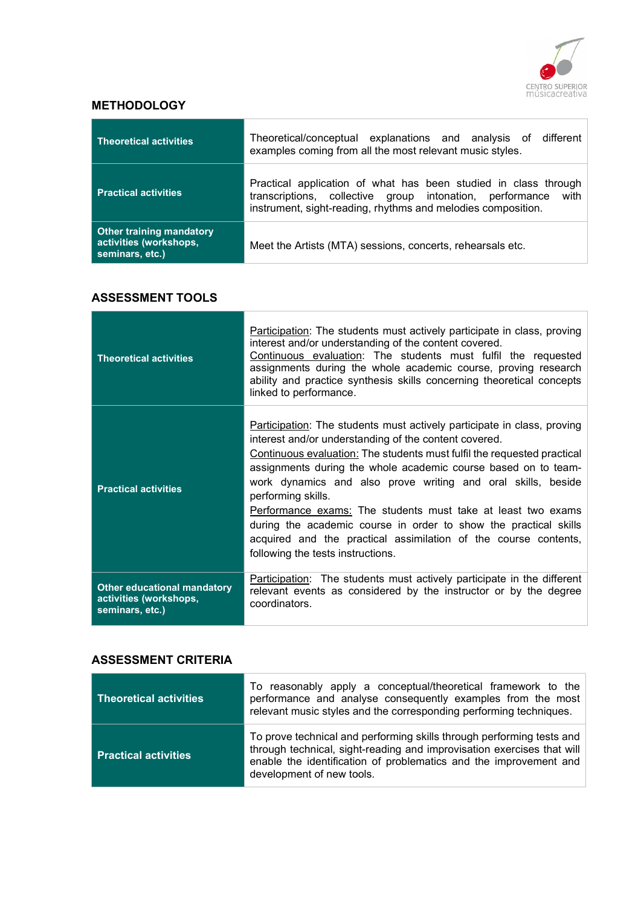

# **METHODOLOGY**

| <b>Theoretical activities</b>                                                | Theoretical/conceptual explanations and analysis of different<br>examples coming from all the most relevant music styles.                                                                        |
|------------------------------------------------------------------------------|--------------------------------------------------------------------------------------------------------------------------------------------------------------------------------------------------|
| <b>Practical activities</b>                                                  | Practical application of what has been studied in class through<br>transcriptions, collective group intonation, performance with<br>instrument, sight-reading, rhythms and melodies composition. |
| <b>Other training mandatory</b><br>activities (workshops,<br>seminars, etc.) | Meet the Artists (MTA) sessions, concerts, rehearsals etc.                                                                                                                                       |

#### ASSESSMENT TOOLS

| <b>Theoretical activities</b>                                                   | Participation: The students must actively participate in class, proving<br>interest and/or understanding of the content covered.<br>Continuous evaluation: The students must fulfil the requested<br>assignments during the whole academic course, proving research<br>ability and practice synthesis skills concerning theoretical concepts<br>linked to performance.                                                                                                                                                                                                                                          |
|---------------------------------------------------------------------------------|-----------------------------------------------------------------------------------------------------------------------------------------------------------------------------------------------------------------------------------------------------------------------------------------------------------------------------------------------------------------------------------------------------------------------------------------------------------------------------------------------------------------------------------------------------------------------------------------------------------------|
| <b>Practical activities</b>                                                     | Participation: The students must actively participate in class, proving<br>interest and/or understanding of the content covered.<br>Continuous evaluation: The students must fulfil the requested practical<br>assignments during the whole academic course based on to team-<br>work dynamics and also prove writing and oral skills, beside<br>performing skills.<br>Performance exams: The students must take at least two exams<br>during the academic course in order to show the practical skills<br>acquired and the practical assimilation of the course contents,<br>following the tests instructions. |
| <b>Other educational mandatory</b><br>activities (workshops,<br>seminars, etc.) | <b>Participation:</b> The students must actively participate in the different<br>relevant events as considered by the instructor or by the degree<br>coordinators.                                                                                                                                                                                                                                                                                                                                                                                                                                              |

#### ASSESSMENT CRITERIA

| Theoretical activities      | To reasonably apply a conceptual/theoretical framework to the<br>performance and analyse consequently examples from the most<br>relevant music styles and the corresponding performing techniques.                                                |
|-----------------------------|---------------------------------------------------------------------------------------------------------------------------------------------------------------------------------------------------------------------------------------------------|
| <b>Practical activities</b> | To prove technical and performing skills through performing tests and<br>through technical, sight-reading and improvisation exercises that will<br>enable the identification of problematics and the improvement and<br>development of new tools. |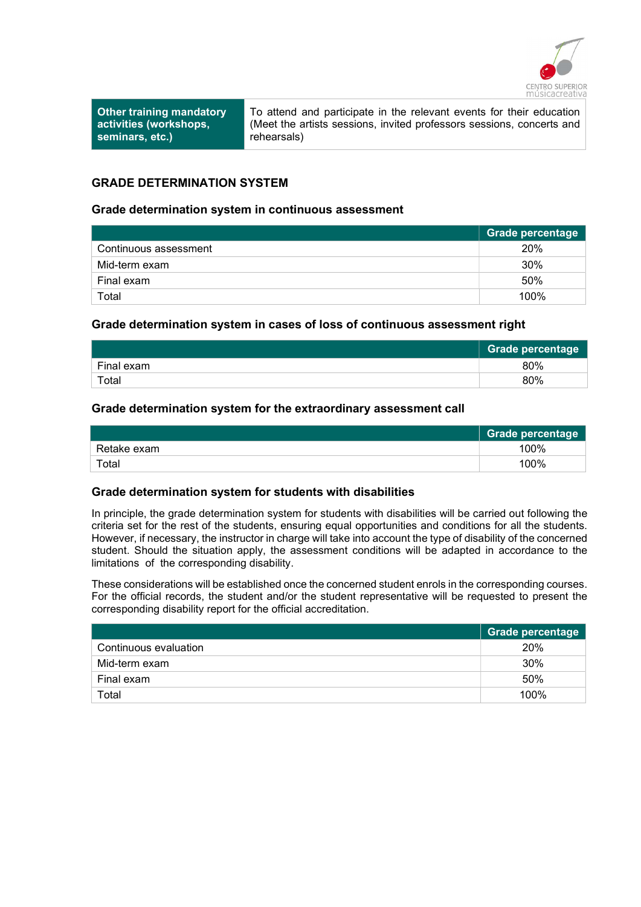

Other training mandatory activities (workshops, seminars, etc.)

To attend and participate in the relevant events for their education (Meet the artists sessions, invited professors sessions, concerts and rehearsals)

#### GRADE DETERMINATION SYSTEM

#### Grade determination system in continuous assessment

|                       | <b>Grade percentage</b> |
|-----------------------|-------------------------|
| Continuous assessment | 20%                     |
| Mid-term exam         | 30%                     |
| Final exam            | 50%                     |
| Total                 | 100%                    |

#### Grade determination system in cases of loss of continuous assessment right

|            | Grade percentage |
|------------|------------------|
| Final exam | 80%              |
| Total      | 80%              |

#### Grade determination system for the extraordinary assessment call

|             | <b>Grade percentage</b> |
|-------------|-------------------------|
| Retake exam | 100%                    |
| Total       | 100%                    |

#### Grade determination system for students with disabilities

In principle, the grade determination system for students with disabilities will be carried out following the criteria set for the rest of the students, ensuring equal opportunities and conditions for all the students. However, if necessary, the instructor in charge will take into account the type of disability of the concerned student. Should the situation apply, the assessment conditions will be adapted in accordance to the limitations of the corresponding disability.

These considerations will be established once the concerned student enrols in the corresponding courses. For the official records, the student and/or the student representative will be requested to present the corresponding disability report for the official accreditation.

|                       | <b>Grade percentage</b> |
|-----------------------|-------------------------|
| Continuous evaluation | 20%                     |
| Mid-term exam         | 30%                     |
| Final exam            | 50%                     |
| Total                 | 100%                    |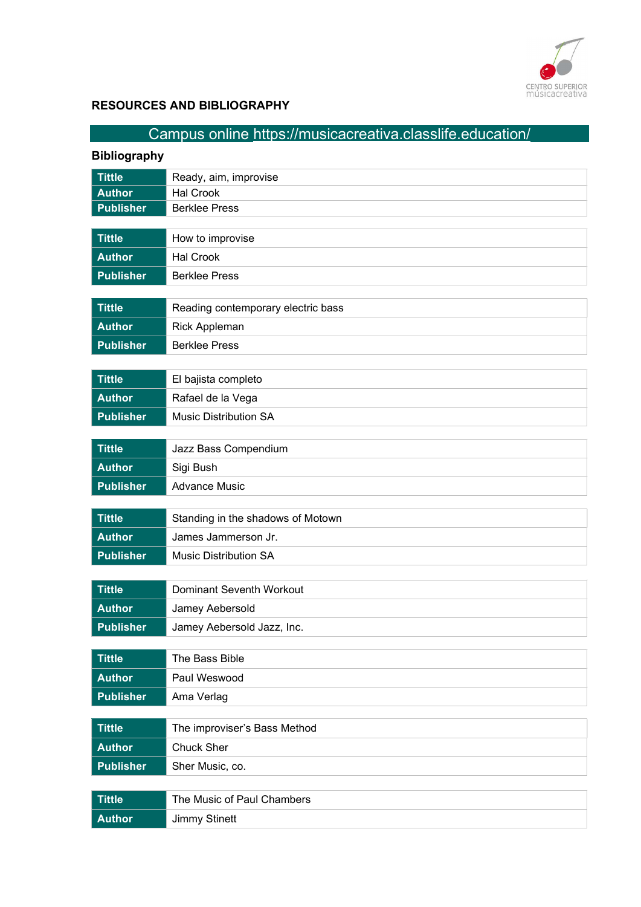

# RESOURCES AND BIBLIOGRAPHY

| Campus online https://musicacreativa.classlife.education/ |                                    |
|-----------------------------------------------------------|------------------------------------|
| <b>Bibliography</b>                                       |                                    |
| <b>Tittle</b>                                             | Ready, aim, improvise              |
| <b>Author</b>                                             | <b>Hal Crook</b>                   |
| <b>Publisher</b>                                          | <b>Berklee Press</b>               |
| <b>Tittle</b>                                             | How to improvise                   |
| <b>Author</b>                                             | <b>Hal Crook</b>                   |
| <b>Publisher</b>                                          | <b>Berklee Press</b>               |
|                                                           |                                    |
| <b>Tittle</b>                                             | Reading contemporary electric bass |
| <b>Author</b>                                             | Rick Appleman                      |
| <b>Publisher</b>                                          | <b>Berklee Press</b>               |
|                                                           |                                    |
| <b>Tittle</b>                                             | El bajista completo                |
| <b>Author</b>                                             | Rafael de la Vega                  |
| <b>Publisher</b>                                          | <b>Music Distribution SA</b>       |
| <b>Tittle</b>                                             |                                    |
|                                                           | Jazz Bass Compendium               |
| <b>Author</b>                                             | Sigi Bush                          |
| <b>Publisher</b>                                          | <b>Advance Music</b>               |
| <b>Tittle</b>                                             | Standing in the shadows of Motown  |
| <b>Author</b>                                             | James Jammerson Jr.                |
| <b>Publisher</b>                                          | <b>Music Distribution SA</b>       |
|                                                           |                                    |
| <b>Tittle</b>                                             | Dominant Seventh Workout           |
| <b>Author</b>                                             | Jamey Aebersold                    |
| <b>Publisher</b>                                          | Jamey Aebersold Jazz, Inc.         |
| <b>Tittle</b>                                             | The Bass Bible                     |
| <b>Author</b>                                             | Paul Weswood                       |
| <b>Publisher</b>                                          | Ama Verlag                         |
|                                                           |                                    |
| <b>Tittle</b>                                             | The improviser's Bass Method       |
| <b>Author</b>                                             | <b>Chuck Sher</b>                  |
| <b>Publisher</b>                                          | Sher Music, co.                    |
|                                                           |                                    |
| <b>Tittle</b>                                             | The Music of Paul Chambers         |
| <b>Author</b>                                             | <b>Jimmy Stinett</b>               |